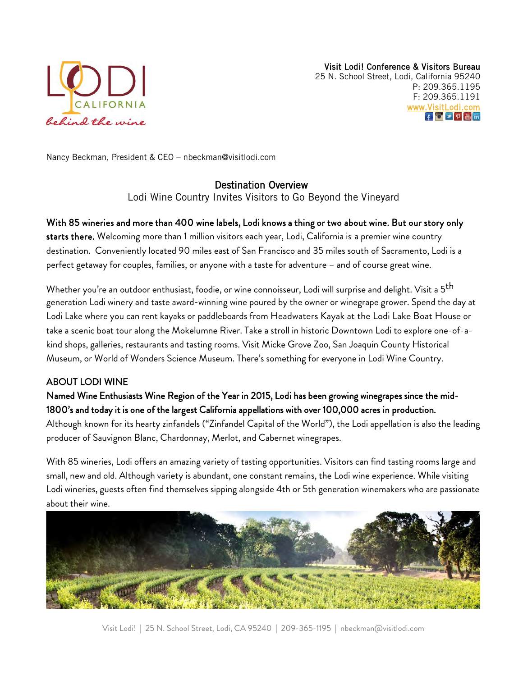

Nancy Beckman, President & CEO – [nbeckman@visitlodi.com](mailto:nbeckman@visitlodi.com)

# Destination Overview

Lodi Wine Country Invites Visitors to Go Beyond the Vineyard

# With 85 wineries and more than 400 wine labels, Lodi knows a thing or two about wine. But our story only

starts there. Welcoming more than 1 million visitors each year, Lodi, California is a premier wine country destination. Conveniently located 90 miles east of San Francisco and 35 miles south of Sacramento, Lodi is a perfect getaway for couples, families, or anyone with a taste for adventure – and of course great wine.

Whether you're an outdoor enthusiast, foodie, or wine connoisseur, Lodi will surprise and delight. Visit a 5<sup>th</sup> generation Lodi winery and taste award-winning wine poured by the owner or winegrape grower. Spend the day at Lodi Lake where you can rent kayaks or paddleboards from Headwaters Kayak at the Lodi Lake Boat House or take a scenic boat tour along the Mokelumne River. Take a stroll in historic Downtown Lodi to explore one-of-akind shops, galleries, restaurants and tasting rooms. Visit Micke Grove Zoo, San Joaquin County Historical Museum, or World of Wonders Science Museum. There's something for everyone in Lodi Wine Country.

# ABOUT LODI WINE

# Named Wine Enthusiasts Wine Region of the Year in 2015, Lodi has been growing winegrapes since the mid-1800's and today it is one of the largest California appellations with over 100,000 acres in production.

Although known for its hearty zinfandels ("Zinfandel Capital of the World"), the Lodi appellation is also the leading producer of Sauvignon Blanc, Chardonnay, Merlot, and Cabernet winegrapes.

With 85 wineries, Lodi offers an amazing variety of tasting opportunities. Visitors can find tasting rooms large and small, new and old. Although variety is abundant, one constant remains, the Lodi wine experience. While visiting Lodi wineries, guests often find themselves sipping alongside 4th or 5th generation winemakers who are passionate about their wine.

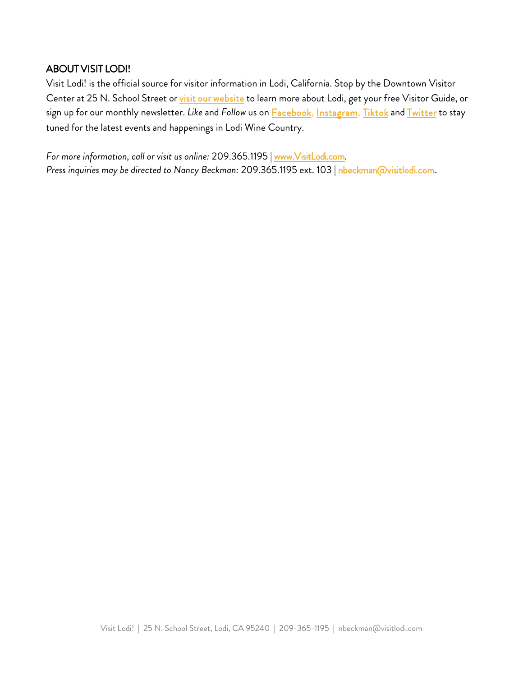# ABOUT VISIT LODI!

Visit Lodi! is the official source for visitor information in Lodi, California. Stop by the Downtown Visitor Center at 25 N. School Street or [visit our website](http://www.visitlodi.com/) to learn more about Lodi, get your free Visitor Guide, or sign up for our monthly newsletter. *Like* and *Follow* us on [Facebook](https://www.facebook.com/visitlodi), [Instagram](https://www.instagram.com/visitlodi/), [Tiktok](https://www.tiktok.com/@visitlodi) and [Twitter](http://www.twitter.com/visitlodi) to stay tuned for the latest events and happenings in Lodi Wine Country.

*For more information, call or visit us online:* 209.365.1195 | [www.VisitLodi.com](http://www.visitlodi.com/)*. Press inquiries may be directed to Nancy Beckman:* 209.365.1195 ext. 103 | [nbeckman@visitlodi.com.](mailto:nbeckman@visitlodi.com?subject=Media%20Request)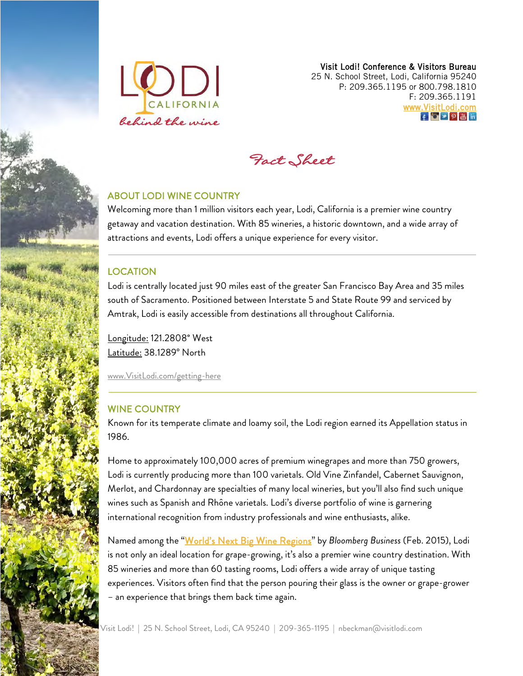

Visit Lodi! Conference & Visitors Bureau 25 N. School Street, Lodi, California 95240 P: 209.365.1195 or 800.798.1810 F: 209.365.1191 [www.VisitLodi.com](http://www.visitlodi.com/)  f o y p <sub>倍</sub> in



# ABOUT LODI WINE COUNTRY

Welcoming more than 1 million visitors each year, Lodi, California is a premier wine country getaway and vacation destination. With 85 wineries, a historic downtown, and a wide array of attractions and events, Lodi offers a unique experience for every visitor.

### LOCATION

Lodi is centrally located just 90 miles east of the greater San Francisco Bay Area and 35 miles south of Sacramento. Positioned between Interstate 5 and State Route 99 and serviced by Amtrak, Lodi is easily accessible from destinations all throughout California.

Longitude: 121.2808° West Latitude: 38.1289° North

[www.VisitLodi.com/getting-here](http://www.visitlodi.com/getting-here)

### WINE COUNTRY

Known for its temperate climate and loamy soil, the Lodi region earned its Appellation status in 1986.

Home to approximately 100,000 acres of premium winegrapes and more than 750 growers, Lodi is currently producing more than 100 varietals. Old Vine Zinfandel, Cabernet Sauvignon, Merlot, and Chardonnay are specialties of many local wineries, but you'll also find such unique wines such as Spanish and Rhône varietals. Lodi's diverse portfolio of wine is garnering international recognition from industry professionals and wine enthusiasts, alike.

Named among the ["World's Next Big Wine Regions"](https://www.bloomberg.com/news/articles/2015-02-23/the-world-s-next-big-wine-regions?hootPostID=987a627ba25d2c00152a6e05498561fe) by *Bloomberg Business* (Feb. 2015), Lodi is not only an ideal location for grape-growing, it's also a premier wine country destination. With 85 wineries and more than 60 tasting rooms, Lodi offers a wide array of unique tasting experiences. Visitors often find that the person pouring their glass is the owner or grape-grower – an experience that brings them back time again.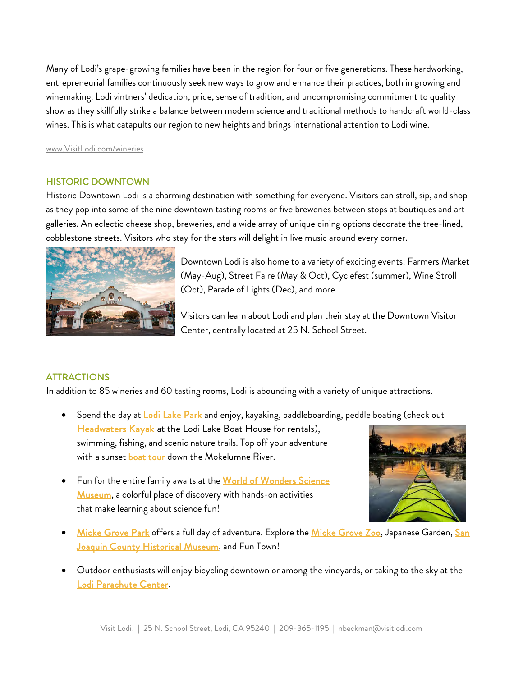Many of Lodi's grape-growing families have been in the region for four or five generations. These hardworking, entrepreneurial families continuously seek new ways to grow and enhance their practices, both in growing and winemaking. Lodi vintners' dedication, pride, sense of tradition, and uncompromising commitment to quality show as they skillfully strike a balance between modern science and traditional methods to handcraft world-class wines. This is what catapults our region to new heights and brings international attention to Lodi wine.

[www.VisitLodi.com/wineries](http://www.visitlodi.com/wineries)

### HISTORIC DOWNTOWN

Historic Downtown Lodi is a charming destination with something for everyone. Visitors can stroll, sip, and shop as they pop into some of the nine downtown tasting rooms or five breweries between stops at boutiques and art galleries. An eclectic cheese shop, breweries, and a wide array of unique dining options decorate the tree-lined, cobblestone streets. Visitors who stay for the stars will delight in live music around every corner.



Downtown Lodi is also home to a variety of exciting events: Farmers Market (May-Aug), Street Faire (May & Oct), Cyclefest (summer), Wine Stroll (Oct), Parade of Lights (Dec), and more.

Visitors can learn about Lodi and plan their stay at the Downtown Visitor Center, centrally located at 25 N. School Street.

# **ATTRACTIONS**

In addition to 85 wineries and 60 tasting rooms, Lodi is abounding with a variety of unique attractions.

- Spend the day at [Lodi Lake Park](https://www.visitlodi.com/directory/lodi-lake-park-nature-areas/) and enjoy, kayaking, paddleboarding, peddle boating (check out [Headwaters Kayak](https://www.visitlodi.com/directory/headwaters-kayak/) at the Lodi Lake Boat House for rentals), swimming, fishing, and scenic nature trails. Top off your adventure with a sunset [boat tour](https://www.visitlodi.com/directory/mokelumne-river-tours/) down the Mokelumne River.
- Fun for the entire family awaits at the [World of Wonders Science](https://www.visitlodi.com/directory/world-of-wonders-science-museum-zoos-museums/) [Museum,](https://www.visitlodi.com/directory/world-of-wonders-science-museum-zoos-museums/) a colorful place of discovery with hands-on activities that make learning about science fun!



- [Micke Grove Park](https://www.visitlodi.com/directory/micke-grove-park-nature-areas/) offers a full day of adventure. Explore the [Micke Grove Zoo,](https://www.visitlodi.com/directory/micke-grove-zoo-zoos-museums/) Japanese Garden, [San](https://www.visitlodi.com/directory/san-joaquin-county-historical-museum/) [Joaquin County Historical Museum,](https://www.visitlodi.com/directory/san-joaquin-county-historical-museum/) and Fun Town!
- Outdoor enthusiasts will enjoy bicycling downtown or among the vineyards, or taking to the sky at the [Lodi Parachute Center.](https://www.visitlodi.com/directory/parachute-center/)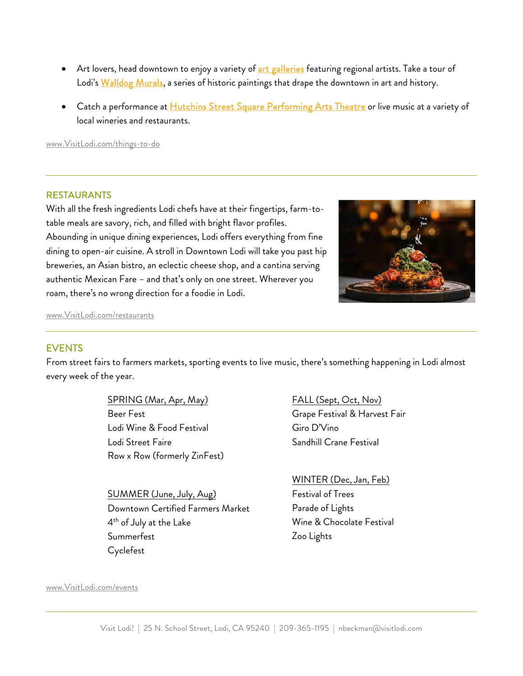- Art lovers, head downtown to enjoy a variety of [art galleries](https://www.visitlodi.com/things-to-do/arts-culture/) featuring regional artists. Take a tour of Lodi's [Walldog Murals,](https://www.visitlodi.com/directory/downtown-lodi-murals-arts-culture/) a series of historic paintings that drape the downtown in art and history.
- Catch a performance at **Hutchins Street Square Performing Arts Theatre** or live music at a variety of local wineries and restaurants.

[www.VisitLodi.com/things-to-do](http://www.visitlodi.com/things-to-do)

#### RESTAURANTS

With all the fresh ingredients Lodi chefs have at their fingertips, farm-totable meals are savory, rich, and filled with bright flavor profiles. Abounding in unique dining experiences, Lodi offers everything from fine dining to open-air cuisine. A stroll in Downtown Lodi will take you past hip breweries, an Asian bistro, an eclectic cheese shop, and a cantina serving authentic Mexican Fare – and that's only on one street. Wherever you roam, there's no wrong direction for a foodie in Lodi.



[www.VisitLodi.com/restaurants](http://www.visitlodi.com/restaurants)

### EVENTS

From street fairs to farmers markets, sporting events to live music, there's something happening in Lodi almost every week of the year.

> SPRING (Mar, Apr, May) Beer Fest Lodi Wine & Food Festival Lodi Street Faire Row x Row (formerly ZinFest)

SUMMER (June, July, Aug) Downtown Certified Farmers Market 4 th of July at the Lake Summerfest Cyclefest

FALL (Sept, Oct, Nov) Grape Festival & Harvest Fair Giro D'Vino Sandhill Crane Festival

WINTER (Dec, Jan, Feb) Festival of Trees Parade of Lights Wine & Chocolate Festival Zoo Lights

#### [www.VisitLodi.com/events](http://www.visitlodi.com/events)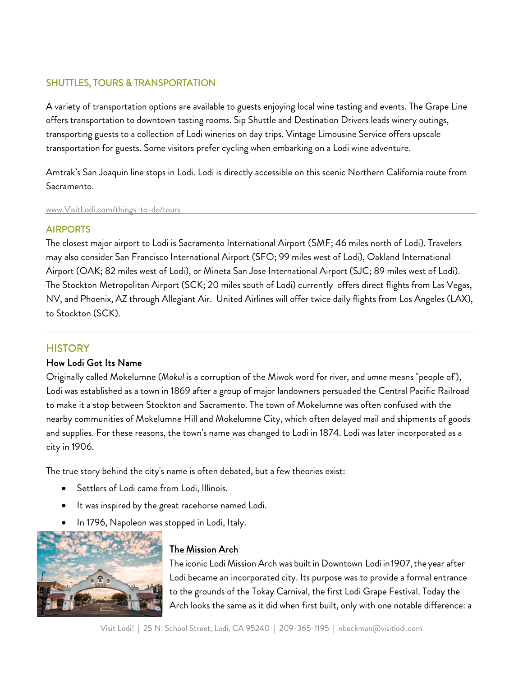# SHUTTLES, TOURS & TRANSPORTATION

A variety of transportation options are available to guests enjoying local wine tasting and events. The Grape Line offers transportation to downtown tasting rooms. Sip Shuttle and Destination Drivers leads winery outings, transporting guests to a collection of Lodi wineries on day trips. Vintage Limousine Service offers upscale transportation for guests. Some visitors prefer cycling when embarking on a Lodi wine adventure.

Amtrak's San Joaquin line stops in Lodi. Lodi is directly accessible on this scenic Northern California route from [Sacramento.](http://www.visitlodi.com/things-to-do/tours) 

www.VisitLodi.com/things-to-do/tours

### AIRPORTS

The closest major airport to Lodi is Sacramento International Airport (SMF; 46 miles north of Lodi). Travelers may also consider San Francisco International Airport (SFO; 99 miles west of Lodi), Oakland International Airport (OAK; 82 miles west of Lodi), or Mineta San Jose International Airport (SJC; 89 miles west of Lodi). The Stockton Metropolitan Airport (SCK; 20 miles south of Lodi) currently offers direct flights from Las Vegas, NV, and Phoenix, AZ through Allegiant Air. United Airlines will offer twice daily flights from Los Angeles (LAX), to Stockton (SCK).

# **HISTORY**

### How Lodi Got Its Name

Originally called Mokelumne (*Mokul* is a corruption of the Miwok word for river, and *umne* means "people of'), Lodi was established as a town in 1869 after a group of major landowners persuaded the Central Pacific Railroad to make it a stop between Stockton and Sacramento. The town of Mokelumne was often confused with the nearby communities of Mokelumne Hill and Mokelumne City, which often delayed mail and shipments of goods and supplies. For these reasons, the town's name was changed to Lodi in 1874. Lodi was later incorporated as a city in 1906.

The true story behind the city's name is often debated, but a few theories exist:

- Settlers of Lodi came from Lodi, Illinois.
- It was inspired by the great racehorse named Lodi.
- In 1796, Napoleon was stopped in Lodi, Italy.



# The Mission Arch

The iconic Lodi Mission Arch was built in Downtown Lodi in 1907, the year after Lodi became an incorporated city. Its purpose was to provide a formal entrance to the grounds of the Tokay Carnival, the first Lodi Grape Festival. Today the Arch looks the same as it did when first built, only with one notable difference: a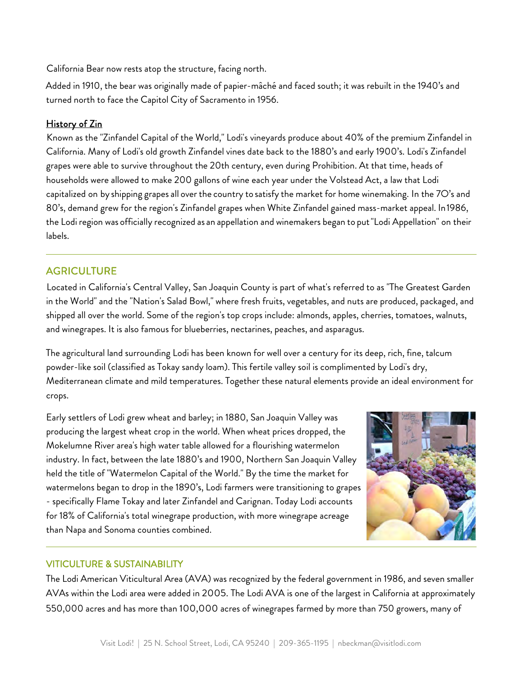California Bear now rests atop the structure, facing north.

Added in 1910, the bear was originally made of papier-mâché and faced south; it was rebuilt in the 1940's and turned north to face the Capitol City of Sacramento in 1956.

## History of Zin

Known as the "Zinfandel Capital of the World," Lodi's vineyards produce about 40% of the premium Zinfandel in California. Many of Lodi's old growth Zinfandel vines date back to the 1880's and early 1900's. Lodi's Zinfandel grapes were able to survive throughout the 20th century, even during Prohibition. At that time, heads of households were allowed to make 200 gallons of wine each year under the Volstead Act, a law that Lodi capitalized on by shipping grapes all over the country to satisfy the market for home winemaking. In the 7O's and 80's, demand grew for the region's Zinfandel grapes when White Zinfandel gained mass-market appeal. In1986, the Lodi region was officially recognized as an appellation and winemakers began to put"Lodi Appellation" on their labels.

# **AGRICULTURE**

Located in California's Central Valley, San Joaquin County is part of what's referred to as "The Greatest Garden in the World" and the "Nation's Salad Bowl," where fresh fruits, vegetables, and nuts are produced, packaged, and shipped all over the world. Some of the region's top crops include: almonds, apples, cherries, tomatoes, walnuts, and winegrapes. It is also famous for blueberries, nectarines, peaches, and asparagus.

The agricultural land surrounding Lodi has been known for well over a century for its deep, rich, fine, talcum powder-like soil (classified as Tokay sandy loam). This fertile valley soil is complimented by Lodi's dry, Mediterranean climate and mild temperatures. Together these natural elements provide an ideal environment for crops.

Early settlers of Lodi grew wheat and barley; in 1880, San Joaquin Valley was producing the largest wheat crop in the world. When wheat prices dropped, the Mokelumne River area's high water table allowed for a flourishing watermelon industry. In fact, between the late 1880's and 1900, Northern San Joaquin Valley held the title of "Watermelon Capital of the World." By the time the market for watermelons began to drop in the 1890's, Lodi farmers were transitioning to grapes - specifically Flame Tokay and later Zinfandel and Carignan. Today Lodi accounts for 18% of California's total winegrape production, with more winegrape acreage than Napa and Sonoma counties combined.



### VITICULTURE & SUSTAINABILITY

The Lodi American Viticultural Area (AVA) was recognized by the federal government in 1986, and seven smaller AVAs within the Lodi area were added in 2005. The Lodi AVA is one of the largest in California at approximately 550,000 acres and has more than 100,000 acres of winegrapes farmed by more than 750 growers, many of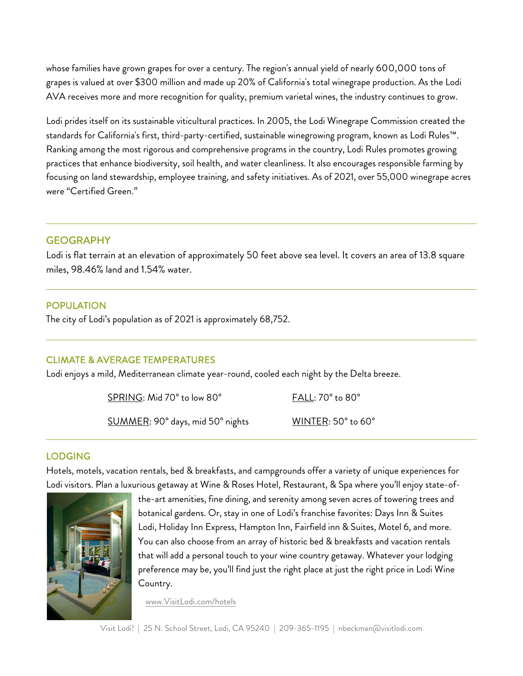whose families have grown grapes for over a century. The region's annual yield of nearly 600,000 tons of grapes is valued at over \$300 million and made up 20% of California's total winegrape production. As the Lodi AVA receives more and more recognition for quality, premium varietal wines, the industry continues to grow.

Lodi prides itself on its sustainable viticultural practices. In 2005, the Lodi Winegrape Commission created the standards for California's first, third-party-certified, sustainable winegrowing program, known as Lodi Rules™. Ranking among the most rigorous and comprehensive programs in the country, Lodi Rules promotes growing practices that enhance biodiversity, soil health, and water cleanliness. It also encourages responsible farming by focusing on land stewardship, employee training, and safety initiatives. As of 2021, over 55,000 winegrape acres were "Certified Green."

### **GEOGRAPHY**

Lodi is flat terrain at an elevation of approximately 50 feet above sea level. It covers an area of 13.8 square miles, 98.46% land and 1.54% water.

### POPULATION

The city of Lodi's population as of 2021 is approximately 68,752.

### CLIMATE & AVERAGE TEMPERATURES

Lodi enjoys a mild, Mediterranean climate year-round, cooled each night by the Delta breeze.

SPRING: Mid 70° to low 80° FALL: 70° to 80°

SUMMER: 90° days, mid 50° nights WINTER: 50° to 60°

### LODGING

Hotels, motels, vacation rentals, bed & breakfasts, and campgrounds offer a variety of unique experiences for Lodi visitors. Plan a luxurious getaway at Wine & Roses Hotel, Restaurant, & Spa where you'll enjoy state-of-



the-art amenities, fine dining, and serenity among seven acres of towering trees and botanical gardens. Or, stay in one of Lodi's franchise favorites: Days Inn & Suites Lodi, Holiday Inn Express, Hampton Inn, Fairfield inn & Suites, Motel 6, and more. You can also choose from an array of historic bed & breakfasts and vacation rentals that will add a personal touch to your wine country getaway. Whatever your lodging preference may be, you'll find just the right place at just the right price in Lodi Wine Country.

www.VisitLodi.com/hotels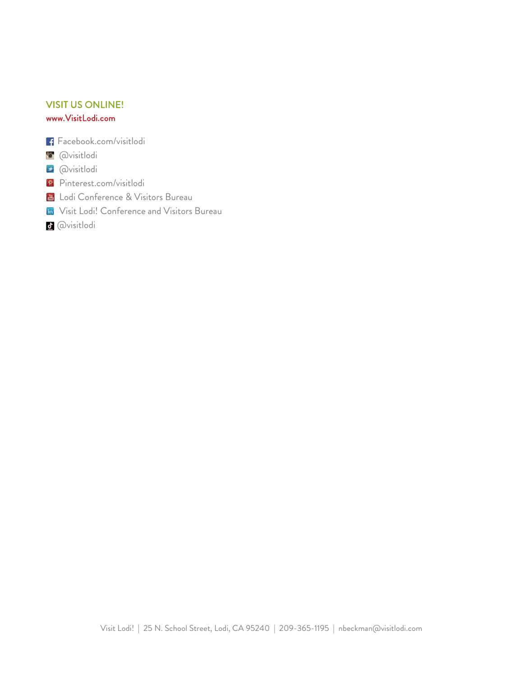## VISIT US ONLINE! [www.VisitLodi.com](http://www.visitlodi.com/)

- Facebook.com/visitlodi
- **@visitlodi**
- **E** @visitlodi
- Pinterest.com/visitlodi
- **L** Lodi Conference & Visitors Bureau
- **In** Visit Lodi! Conference and Visitors Bureau
- @visitlodi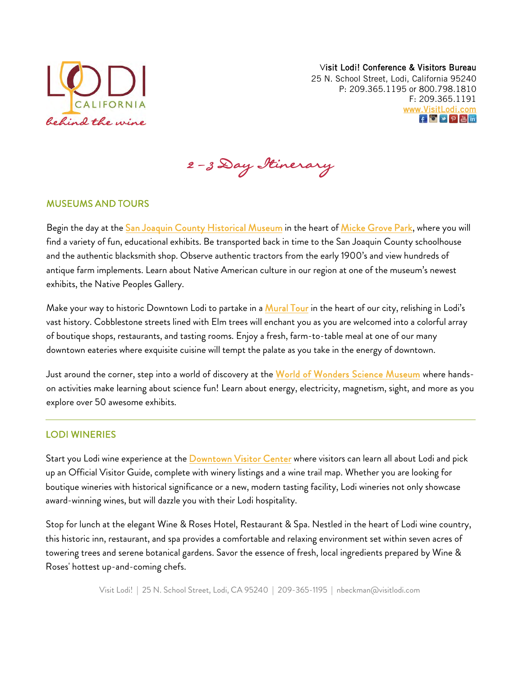

Nancy Beckman, President & CEO - nbeckman@visitlodi.com

# **Destination Overview**

Lodi Wine Country Invites Visitors to Go Beyond the Vineyard

## With 85 wineries and more than 400 wine labels, Lodi knows a thing or two about wine. But our story only

starts there. Welcoming more than 1 million visitors each year, Lodi, California is a premier wine country destination. Conveniently located 90 miles east of San Francisco and 35 miles south of Sacramento, Lodi is a perfect getaway for couples, families, or anyone with a taste for adventure - and of course great wine.

Whether you're an outdoor enthusiast, foodie, or wine connoisseur, Lodi will surprise and delight. Visit a 5<sup>th</sup> generation Lodi winery and taste award-winning wine poured by the owner or winegrape grower. Spend the day at Lodi Lake where you can rent kayaks or paddleboards from Headwaters Kayak at the Lodi Lake Boat House or take a scenic boat tour along the Mokelumne River. Take a stroll in historic Downtown Lodi to explore one-of-akind shops, galleries, restaurants and tasting rooms. Visit Micke Grove Zoo, San Joaquin County Historical Museum, or World of Wonders Science Museum. There's something for everyone in Lodi Wine Country.

### **ABOUT LODI WINE**

# Named Wine Enthusiasts Wine Region of the Year in 2015, Lodi has been growing winegrapes since the mid-1800's and today it is one of the largest California appellations with over 100,000 acres in production.

Although known for its hearty zinfandels ("Zinfandel Capital of the World"), the Lodi appellation is also the leading producer of Sauvignon Blanc, Chardonnay, Merlot, and Cabernet winegrapes.

With 85 wineries, Lodi offers an amazing variety of tasting opportunities. Visitors can find tasting rooms large and small, new and old. Although variety is abundant, one constant remains, the Lodi wine experience. While visiting Lodi wineries, guests often find themselves sipping alongside 4th or 5th generation winemakers who are passionate about their wine.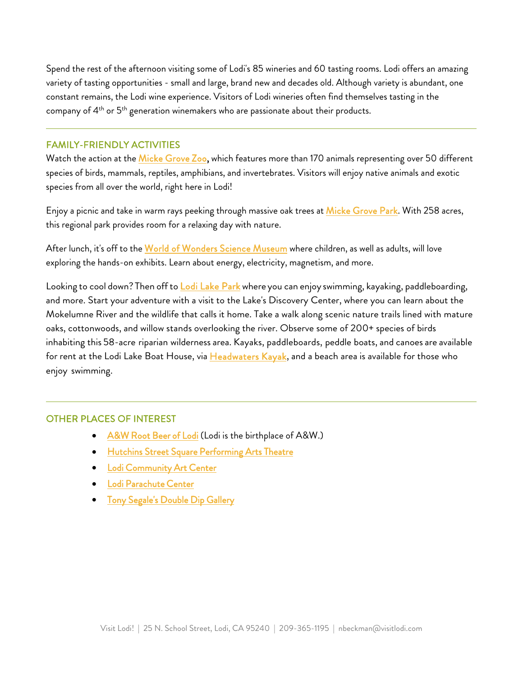Spend the rest of the afternoon visiting some of Lodi's 85 wineries and 60 tasting rooms. Lodi offers an amazing variety of tasting opportunities - small and large, brand new and decades old. Although variety is abundant, one constant remains, the Lodi wine experience. Visitors of Lodi wineries often find themselves tasting in the company of 4<sup>th</sup> or 5<sup>th</sup> generation winemakers who are passionate about their products.

#### FAMILY-FRIENDLY ACTIVITIES

Watch the action at the [Micke Grove Zoo,](https://www.visitlodi.com/directory/micke-grove-zoo-zoos-museums/) which features more than 170 animals representing over 50 different species of birds, mammals, reptiles, amphibians, and invertebrates. Visitors will enjoy native animals and exotic species from all over the world, right here in Lodi!

Enjoy a picnic and take in warm rays peeking through massive oak trees at [Micke Grove Park.](https://www.visitlodi.com/directory/micke-grove-park-nature-areas/) With 258 acres, this regional park provides room for a relaxing day with nature.

After lunch, it's off to the [World of Wonders Science Museum](https://www.visitlodi.com/directory/world-of-wonders-science-museum-zoos-museums/) where children, as well as adults, will love exploring the hands-on exhibits. Learn about energy, electricity, magnetism, and more.

Looking to cool down? Then off to [Lodi Lake Park wh](http://visitlodi.com/idss/venue.php?id=2943%2Bname%3DLodi%20Lake%20Park)ere you can enjoy swimming, kayaking, paddleboarding, and more. Start your adventure with a visit to the Lake's Discovery Center, where you can learn about the Mokelumne River and the wildlife that calls it home. Take a walk along scenic nature trails lined with mature oaks, cottonwoods, and willow stands overlooking the river. Observe some of 200+ species of birds inhabiting this 58-acre riparian wilderness area. Kayaks, paddleboards, peddle boats, and canoes are available for rent at the Lodi Lake Boat House, via [Headwaters Kayak,](https://www.visitlodi.com/directory/headwaters-kayak/) and a beach area is available for those who enjoy swimming.

#### OTHER PLACES OF INTEREST

- A&W Root Beer of Lodi (Lodi is the birthplace of A&W.)
- Hutchins Street Square Performing Arts Theatre
- **Lodi Community Art Center**
- Lodi Parachute Center
- Tony Segale's Double Dip Gallery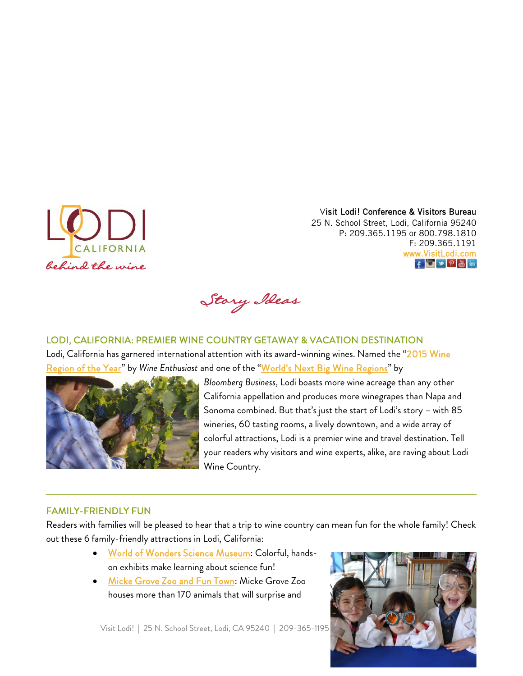#### Visit Lodi! Conference & Visitors Bureau

25 N. School Street, Lodi, California 95240 P: 209.365.1195 or 800.798.1810 F: 209.365.1191 [www.VisitLodi.com](http://www.visitlodi.com/)  f 0 9 8 m

Story Ideas

### LODI, CALIFORNIA: PREMIER WINE COUNTRY GETAWAY & VACATION DESTINATION

Lodi, California has garnered international attention with its award-winning wines. Named the "2015 Wine [Region of the Year"](https://www.winemag.com/gallery/wine-enthusiasts-2015-wine-star-award-winners/#gallery-carousel-11) by *Wine Enthusiast* and one of the ["World's Next Big Wine Regions"](https://www.bloomberg.com/news/articles/2015-02-23/the-world-s-next-big-wine-regions?hootPostID=987a627ba25d2c00152a6e05498561fe) by



*Bloomberg Business*, Lodi boasts more wine acreage than any other California appellation and produces more winegrapes than Napa and Sonoma combined. But that's just the start of Lodi's story – with 85 wineries, 60 tasting rooms, a lively downtown, and a wide array of colorful attractions, Lodi is a premier wine and travel destination. Tell your readers why visitors and wine experts, alike, are raving about Lodi Wine Country.

# FAMILY-FRIENDLY FUN

Readers with families will be pleased to hear that a trip to wine country can mean fun for the whole family! Check out these 6 family-friendly attractions in Lodi, California:

- [World of Wonders Science Museum:](https://www.visitlodi.com/directory/world-of-wonders-science-museum-zoos-museums/) Colorful, handson exhibits make learning about science fun!
- [Micke Grove Zoo and Fun Town:](https://www.visitlodi.com/directory/micke-grove-park-nature-areas/) Micke Grove Zoo houses more than 170 animals that will surprise and

Visit Lodi! | 25 N. School Street, Lodi, CA 95240 | 209-365-1195

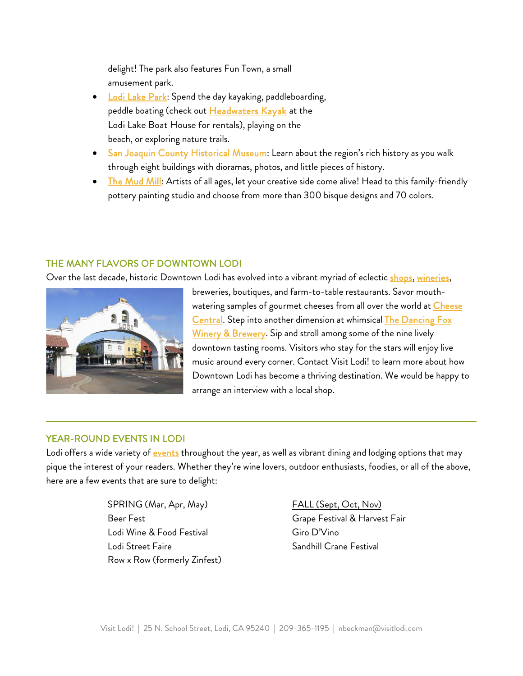delight! The park also features Fun Town, a small amusement park.

- [Lodi Lake Park:](https://www.visitlodi.com/directory/lodi-lake-park-outdoor-recreation/) Spend the day kayaking, paddleboarding, peddle boating (check ou[t Headwaters Kayak](https://www.visitlodi.com/directory/headwaters-kayak/) at the Lodi Lake Boat House for rentals), playing on the beach, or exploring nature trails.
- [San Joaquin County Historical Museum:](https://www.visitlodi.com/directory/san-joaquin-county-historical-museum/) Learn about the region's rich history as you walk through eight buildings with dioramas, photos, and little pieces of history.
- [The Mud Mill:](https://www.visitlodi.com/directory/the-mud-mill-arts-culture/) Artists of all ages, let your creative side come alive! Head to this family-friendly pottery painting studio and choose from more than 300 bisque designs and 70 colors.

## THE MANY FLAVORS OF DOWNTOWN LODI

Over the last decade, historic Downtown Lodi has evolved into a vibrant myriad of eclectic [shops,](https://www.visitlodi.com/things-to-do/shopping/) [wineries,](https://www.visitlodi.com/wineries/downtown-lodi-wine/)



breweries, boutiques, and farm-to-table restaurants. Savor mouthwatering samples of gourmet cheeses from all over the world at Cheese [Central.](https://www.visitlodi.com/directory/cheese-central-cafe-deli/) Step into another dimension at whimsical [The Dancing Fox](https://www.visitlodi.com/directory/the-dancing-fox-winery-brewery-american/)  [Winery & Brewery.](https://www.visitlodi.com/directory/the-dancing-fox-winery-brewery-american/) Sip and stroll among some of the nine lively downtown tasting rooms. Visitors who stay for the stars will enjoy live music around every corner. Contact Visit Lodi! to learn more about how Downtown Lodi has become a thriving destination. We would be happy to arrange an interview with a local shop.

### YEAR-ROUND EVENTS IN LODI

Lodi offers a wide variety of **events** throughout the year, as well as vibrant dining and lodging options that may pique the interest of your readers. Whether they're wine lovers, outdoor enthusiasts, foodies, or all of the above, here are a few events that are sure to delight:

> SPRING (Mar, Apr, May) Beer Fest Lodi Wine & Food Festival Lodi Street Faire Row x Row (formerly Zinfest)

FALL (Sept, Oct, Nov) Grape Festival & Harvest Fair Giro D'Vino Sandhill Crane Festival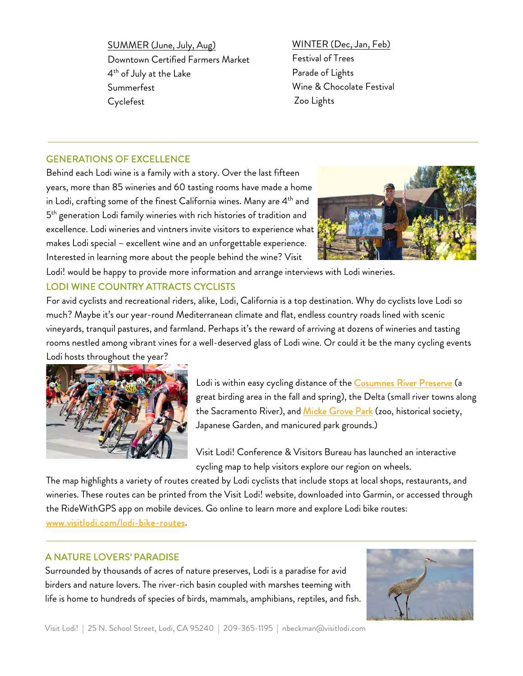SUMMER (June, July, Aug) Downtown Certified Farmers Market 4 th of July at the Lake Summerfest Cyclefest

WINTER (Dec, Jan, Feb) Festival of Trees Parade of Lights Wine & Chocolate Festival Zoo Lights

### GENERATIONS OF EXCELLENCE

Behind each Lodi wine is a family with a story. Over the last fifteen years, more than 85 wineries and 60 tasting rooms have made a home in Lodi, crafting some of the finest California wines. Many are  $4<sup>th</sup>$  and 5<sup>th</sup> generation Lodi family wineries with rich histories of tradition and excellence. Lodi wineries and vintners invite visitors to experience what makes Lodi special – excellent wine and an unforgettable experience. Interested in learning more about the people behind the wine? Visit



Lodi! would be happy to provide more information and arrange interviews with Lodi wineries.

### LODI WINE COUNTRY ATTRACTS CYCLISTS

For avid cyclists and recreational riders, alike, Lodi, California is a top destination. Why do cyclists love Lodi so much? Maybe it's our year-round Mediterranean climate and flat, endless country roads lined with scenic vineyards, tranquil pastures, and farmland. Perhaps it's the reward of arriving at dozens of wineries and tasting rooms nestled among vibrant vines for a well-deserved glass of Lodi wine. Or could it be the many cycling events Lodi hosts throughout the year?



Lodi is within easy cycling distance of the [Cosumnes River Preserve](https://www.visitlodi.com/directory/cosumnes-river-preserve/) (a great birding area in the fall and spring), the Delta (small river towns along the Sacramento River), and [Micke Grove Park](https://www.visitlodi.com/directory/micke-grove-park-nature-areas/) (zoo, historical society, Japanese Garden, and manicured park grounds.)

Visit Lodi! Conference & Visitors Bureau has launched an interactive cycling map to help visitors explore our region on wheels.

The map highlights a variety of routes created by Lodi cyclists that include stops at local shops, restaurants, and wineries. These routes can be printed from the Visit Lodi! website, downloaded into Garmin, or accessed through the RideWithGPS app on mobile devices. Go online to learn more and explore Lodi bike routes: [www.visitlodi.com/lodi-bike-routes.](http://www.visitlodi.com/lodi-bike-routes)

# A NATURE LOVERS' PARADISE

Surrounded by thousands of acres of nature preserves, Lodi is a paradise for avid birders and nature lovers. The river-rich basin coupled with marshes teeming with life is home to hundreds of species of birds, mammals, amphibians, reptiles, and fish.